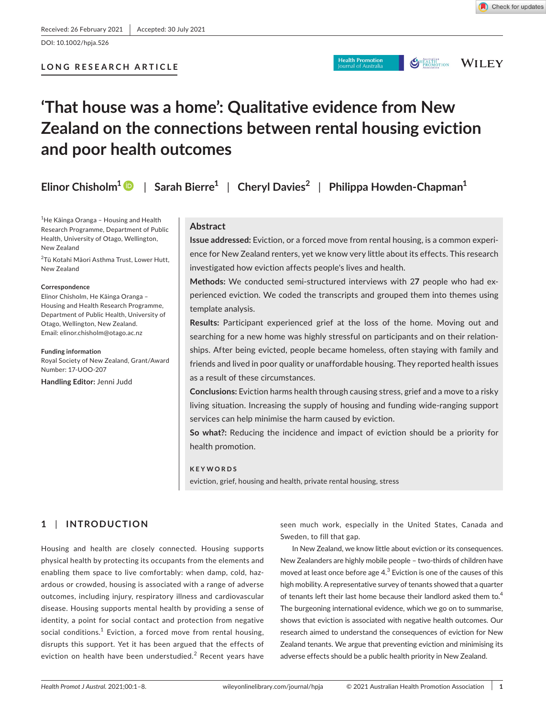**LONG RESEARCH ARTICLE**

**Health Promotion** 

**SHEARTHING WILEY** 

# **'That house was a home': Qualitative evidence from New Zealand on the connections between rental housing eviction and poor health outcomes**

**Elinor Chisholm[1](https://orcid.org/0000-0001-6720-0283)** | **Sarah Bierre1** | **Cheryl Davies<sup>2</sup>** | **Philippa Howden-Chapman1**

1 He Kāinga Oranga – Housing and Health Research Programme, Department of Public Health, University of Otago, Wellington, New Zealand

<sup>2</sup>Tū Kotahi Māori Asthma Trust, Lower Hutt, New Zealand

#### **Correspondence**

Elinor Chisholm, He Kāinga Oranga – Housing and Health Research Programme, Department of Public Health, University of Otago, Wellington, New Zealand. Email: [elinor.chisholm@otago.ac.nz](mailto:elinor.chisholm@otago.ac.nz)

#### **Funding information**

Royal Society of New Zealand, Grant/Award Number: 17-UOO-207

**Handling Editor:** Jenni Judd

## **Abstract**

**Issue addressed:** Eviction, or a forced move from rental housing, is a common experience for New Zealand renters, yet we know very little about its effects. This research investigated how eviction affects people's lives and health.

**Methods:** We conducted semi-structured interviews with 2**7** people who had experienced eviction. We coded the transcripts and grouped them into themes using template analysis.

**Results:** Participant experienced grief at the loss of the home. Moving out and searching for a new home was highly stressful on participants and on their relationships. After being evicted, people became homeless, often staying with family and friends and lived in poor quality or unaffordable housing. They reported health issues as a result of these circumstances.

**Conclusions:** Eviction harms health through causing stress, grief and a move to a risky living situation. Increasing the supply of housing and funding wide-ranging support services can help minimise the harm caused by eviction.

**So what?:** Reducing the incidence and impact of eviction should be a priority for health promotion.

## **KEYWORDS**

eviction, grief, housing and health, private rental housing, stress

# **1** | **INTRODUCTION**

Housing and health are closely connected. Housing supports physical health by protecting its occupants from the elements and enabling them space to live comfortably: when damp, cold, hazardous or crowded, housing is associated with a range of adverse outcomes, including injury, respiratory illness and cardiovascular disease. Housing supports mental health by providing a sense of identity, a point for social contact and protection from negative social conditions. $^1$  Eviction, a forced move from rental housing, disrupts this support. Yet it has been argued that the effects of eviction on health have been understudied. $^2$  Recent years have

seen much work, especially in the United States, Canada and Sweden, to fill that gap.

In New Zealand, we know little about eviction or its consequences. New Zealanders are highly mobile people – two-thirds of children have moved at least once before age  $4.3$  Eviction is one of the causes of this high mobility. A representative survey of tenants showed that a quarter of tenants left their last home because their landlord asked them to.<sup>4</sup> The burgeoning international evidence, which we go on to summarise, shows that eviction is associated with negative health outcomes. Our research aimed to understand the consequences of eviction for New Zealand tenants. We argue that preventing eviction and minimising its adverse effects should be a public health priority in New Zealand.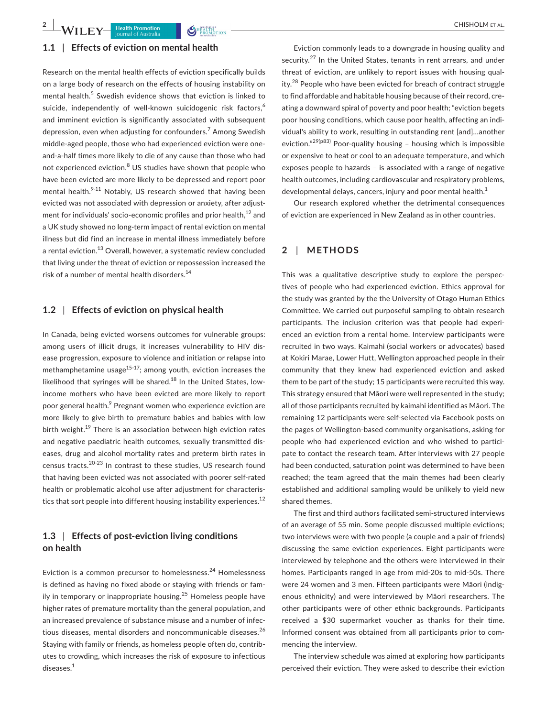## **1.1** | **Effects of eviction on mental health**

Research on the mental health effects of eviction specifically builds on a large body of research on the effects of housing instability on mental health.<sup>5</sup> Swedish evidence shows that eviction is linked to suicide, independently of well-known suicidogenic risk factors,<sup>6</sup> and imminent eviction is significantly associated with subsequent depression, even when adjusting for confounders.<sup>7</sup> Among Swedish middle-aged people, those who had experienced eviction were oneand-a-half times more likely to die of any cause than those who had not experienced eviction.<sup>8</sup> US studies have shown that people who have been evicted are more likely to be depressed and report poor mental health.<sup>9-11</sup> Notably, US research showed that having been evicted was not associated with depression or anxiety, after adjustment for individuals' socio-economic profiles and prior health,<sup>12</sup> and a UK study showed no long-term impact of rental eviction on mental illness but did find an increase in mental illness immediately before a rental eviction.<sup>13</sup> Overall, however, a systematic review concluded that living under the threat of eviction or repossession increased the risk of a number of mental health disorders.<sup>14</sup>

## **1.2** | **Effects of eviction on physical health**

In Canada, being evicted worsens outcomes for vulnerable groups: among users of illicit drugs, it increases vulnerability to HIV disease progression, exposure to violence and initiation or relapse into methamphetamine usage $15-17$ ; among youth, eviction increases the likelihood that syringes will be shared.<sup>18</sup> In the United States, lowincome mothers who have been evicted are more likely to report poor general health.<sup>9</sup> Pregnant women who experience eviction are more likely to give birth to premature babies and babies with low birth weight.<sup>19</sup> There is an association between high eviction rates and negative paediatric health outcomes, sexually transmitted diseases, drug and alcohol mortality rates and preterm birth rates in census tracts.20-23 In contrast to these studies, US research found that having been evicted was not associated with poorer self-rated health or problematic alcohol use after adjustment for characteristics that sort people into different housing instability experiences.<sup>12</sup>

# **1.3** | **Effects of post-eviction living conditions on health**

Eviction is a common precursor to homelessness.<sup>24</sup> Homelessness is defined as having no fixed abode or staying with friends or family in temporary or inappropriate housing.<sup>25</sup> Homeless people have higher rates of premature mortality than the general population, and an increased prevalence of substance misuse and a number of infectious diseases, mental disorders and noncommunicable diseases.<sup>26</sup> Staying with family or friends, as homeless people often do, contributes to crowding, which increases the risk of exposure to infectious diseases.<sup>1</sup>

Eviction commonly leads to a downgrade in housing quality and security.<sup>27</sup> In the United States, tenants in rent arrears, and under threat of eviction, are unlikely to report issues with housing quality.<sup>28</sup> People who have been evicted for breach of contract struggle to find affordable and habitable housing because of their record, creating a downward spiral of poverty and poor health; "eviction begets poor housing conditions, which cause poor health, affecting an individual's ability to work, resulting in outstanding rent [and]…another eviction."<sup>29(p83)</sup> Poor-quality housing - housing which is impossible or expensive to heat or cool to an adequate temperature, and which exposes people to hazards – is associated with a range of negative health outcomes, including cardiovascular and respiratory problems, developmental delays, cancers, injury and poor mental health. $<sup>1</sup>$ </sup>

Our research explored whether the detrimental consequences of eviction are experienced in New Zealand as in other countries.

## **2** | **METHODS**

This was a qualitative descriptive study to explore the perspectives of people who had experienced eviction. Ethics approval for the study was granted by the the University of Otago Human Ethics Committee. We carried out purposeful sampling to obtain research participants. The inclusion criterion was that people had experienced an eviction from a rental home. Interview participants were recruited in two ways. Kaimahi (social workers or advocates) based at Kokiri Marae, Lower Hutt, Wellington approached people in their community that they knew had experienced eviction and asked them to be part of the study; 15 participants were recruited this way. This strategy ensured that Māori were well represented in the study; all of those participants recruited by kaimahi identified as Māori. The remaining 12 participants were self-selected via Facebook posts on the pages of Wellington-based community organisations, asking for people who had experienced eviction and who wished to participate to contact the research team. After interviews with 27 people had been conducted, saturation point was determined to have been reached; the team agreed that the main themes had been clearly established and additional sampling would be unlikely to yield new shared themes.

The first and third authors facilitated semi-structured interviews of an average of 55 min. Some people discussed multiple evictions; two interviews were with two people (a couple and a pair of friends) discussing the same eviction experiences. Eight participants were interviewed by telephone and the others were interviewed in their homes. Participants ranged in age from mid-20s to mid-50s. There were 24 women and 3 men. Fifteen participants were Māori (indigenous ethnicity) and were interviewed by Māori researchers. The other participants were of other ethnic backgrounds. Participants received a \$30 supermarket voucher as thanks for their time. Informed consent was obtained from all participants prior to commencing the interview.

The interview schedule was aimed at exploring how participants perceived their eviction. They were asked to describe their eviction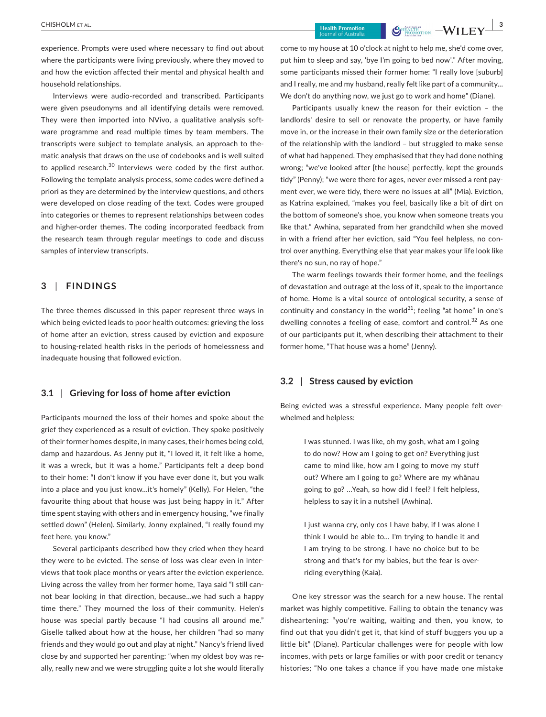experience. Prompts were used where necessary to find out about where the participants were living previously, where they moved to and how the eviction affected their mental and physical health and household relationships.

Interviews were audio-recorded and transcribed. Participants were given pseudonyms and all identifying details were removed. They were then imported into NVivo, a qualitative analysis software programme and read multiple times by team members. The transcripts were subject to template analysis, an approach to thematic analysis that draws on the use of codebooks and is well suited to applied research.<sup>30</sup> Interviews were coded by the first author. Following the template analysis process, some codes were defined a priori as they are determined by the interview questions, and others were developed on close reading of the text. Codes were grouped into categories or themes to represent relationships between codes and higher-order themes. The coding incorporated feedback from the research team through regular meetings to code and discuss samples of interview transcripts.

## **3** | **FINDINGS**

The three themes discussed in this paper represent three ways in which being evicted leads to poor health outcomes: grieving the loss of home after an eviction, stress caused by eviction and exposure to housing-related health risks in the periods of homelessness and inadequate housing that followed eviction.

#### **3.1** | **Grieving for loss of home after eviction**

Participants mourned the loss of their homes and spoke about the grief they experienced as a result of eviction. They spoke positively of their former homes despite, in many cases, their homes being cold, damp and hazardous. As Jenny put it, "I loved it, it felt like a home, it was a wreck, but it was a home." Participants felt a deep bond to their home: "I don't know if you have ever done it, but you walk into a place and you just know…it's homely" (Kelly). For Helen, "the favourite thing about that house was just being happy in it." After time spent staying with others and in emergency housing, "we finally settled down" (Helen). Similarly, Jonny explained, "I really found my feet here, you know."

Several participants described how they cried when they heard they were to be evicted. The sense of loss was clear even in interviews that took place months or years after the eviction experience. Living across the valley from her former home, Taya said "I still cannot bear looking in that direction, because…we had such a happy time there." They mourned the loss of their community. Helen's house was special partly because "I had cousins all around me." Giselle talked about how at the house, her children "had so many friends and they would go out and play at night." Nancy's friend lived close by and supported her parenting: "when my oldest boy was really, really new and we were struggling quite a lot she would literally

come to my house at 10 o'clock at night to help me, she'd come over, put him to sleep and say, 'bye I'm going to bed now'." After moving, some participants missed their former home: "I really love [suburb] and I really, me and my husband, really felt like part of a community… We don't do anything now, we just go to work and home" (Diane).

Participants usually knew the reason for their eviction – the landlords' desire to sell or renovate the property, or have family move in, or the increase in their own family size or the deterioration of the relationship with the landlord – but struggled to make sense of what had happened. They emphasised that they had done nothing wrong; "we've looked after [the house] perfectly, kept the grounds tidy" (Penny); "we were there for ages, never ever missed a rent payment ever, we were tidy, there were no issues at all" (Mia). Eviction, as Katrina explained, "makes you feel, basically like a bit of dirt on the bottom of someone's shoe, you know when someone treats you like that." Awhina, separated from her grandchild when she moved in with a friend after her eviction, said "You feel helpless, no control over anything. Everything else that year makes your life look like there's no sun, no ray of hope."

The warm feelings towards their former home, and the feelings of devastation and outrage at the loss of it, speak to the importance of home. Home is a vital source of ontological security, a sense of continuity and constancy in the world<sup>31</sup>; feeling "at home" in one's dwelling connotes a feeling of ease, comfort and control.<sup>32</sup> As one of our participants put it, when describing their attachment to their former home, "That house was a home" (Jenny).

## **3.2** | **Stress caused by eviction**

Being evicted was a stressful experience. Many people felt overwhelmed and helpless:

> I was stunned. I was like, oh my gosh, what am I going to do now? How am I going to get on? Everything just came to mind like, how am I going to move my stuff out? Where am I going to go? Where are my whānau going to go? …Yeah, so how did I feel? I felt helpless, helpless to say it in a nutshell (Awhina).

> I just wanna cry, only cos I have baby, if I was alone I think I would be able to… I'm trying to handle it and I am trying to be strong. I have no choice but to be strong and that's for my babies, but the fear is overriding everything (Kaia).

One key stressor was the search for a new house. The rental market was highly competitive. Failing to obtain the tenancy was disheartening: "you're waiting, waiting and then, you know, to find out that you didn't get it, that kind of stuff buggers you up a little bit" (Diane). Particular challenges were for people with low incomes, with pets or large families or with poor credit or tenancy histories; "No one takes a chance if you have made one mistake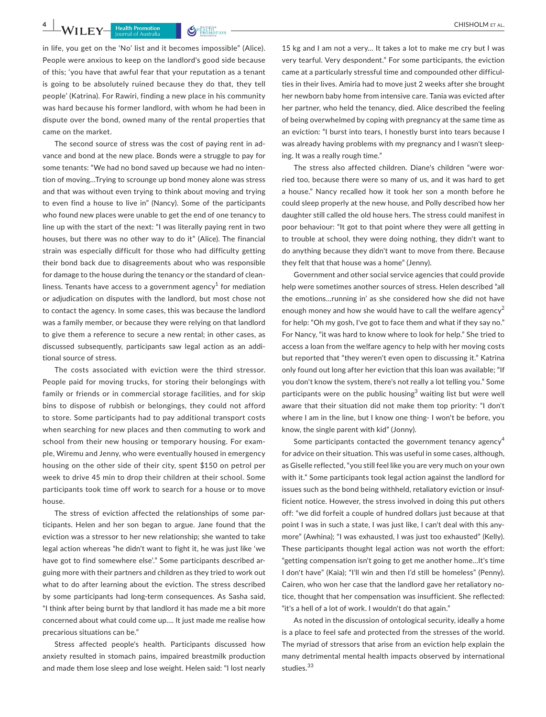in life, you get on the 'No' list and it becomes impossible" (Alice). People were anxious to keep on the landlord's good side because of this; 'you have that awful fear that your reputation as a tenant is going to be absolutely ruined because they do that, they tell people' (Katrina). For Rawiri, finding a new place in his community was hard because his former landlord, with whom he had been in dispute over the bond, owned many of the rental properties that came on the market.

The second source of stress was the cost of paying rent in advance and bond at the new place. Bonds were a struggle to pay for some tenants: "We had no bond saved up because we had no intention of moving…Trying to scrounge up bond money alone was stress and that was without even trying to think about moving and trying to even find a house to live in" (Nancy). Some of the participants who found new places were unable to get the end of one tenancy to line up with the start of the next: "I was literally paying rent in two houses, but there was no other way to do it" (Alice). The financial strain was especially difficult for those who had difficulty getting their bond back due to disagreements about who was responsible for damage to the house during the tenancy or the standard of cleanliness. Tenants have access to a government agency $^1$  for mediation or adjudication on disputes with the landlord, but most chose not to contact the agency. In some cases, this was because the landlord was a family member, or because they were relying on that landlord to give them a reference to secure a new rental; in other cases, as discussed subsequently, participants saw legal action as an additional source of stress.

The costs associated with eviction were the third stressor. People paid for moving trucks, for storing their belongings with family or friends or in commercial storage facilities, and for skip bins to dispose of rubbish or belongings, they could not afford to store. Some participants had to pay additional transport costs when searching for new places and then commuting to work and school from their new housing or temporary housing. For example, Wiremu and Jenny, who were eventually housed in emergency housing on the other side of their city, spent \$150 on petrol per week to drive 45 min to drop their children at their school. Some participants took time off work to search for a house or to move house.

The stress of eviction affected the relationships of some participants. Helen and her son began to argue. Jane found that the eviction was a stressor to her new relationship; she wanted to take legal action whereas "he didn't want to fight it, he was just like 'we have got to find somewhere else'." Some participants described arguing more with their partners and children as they tried to work out what to do after learning about the eviction. The stress described by some participants had long-term consequences. As Sasha said, "I think after being burnt by that landlord it has made me a bit more concerned about what could come up…. It just made me realise how precarious situations can be."

Stress affected people's health. Participants discussed how anxiety resulted in stomach pains, impaired breastmilk production and made them lose sleep and lose weight. Helen said: "I lost nearly

15 kg and I am not a very… It takes a lot to make me cry but I was very tearful. Very despondent." For some participants, the eviction came at a particularly stressful time and compounded other difficulties in their lives. Amiria had to move just 2 weeks after she brought her newborn baby home from intensive care. Tania was evicted after her partner, who held the tenancy, died. Alice described the feeling of being overwhelmed by coping with pregnancy at the same time as an eviction: "I burst into tears, I honestly burst into tears because I was already having problems with my pregnancy and I wasn't sleeping. It was a really rough time."

The stress also affected children. Diane's children "were worried too, because there were so many of us, and it was hard to get a house." Nancy recalled how it took her son a month before he could sleep properly at the new house, and Polly described how her daughter still called the old house hers. The stress could manifest in poor behaviour: "It got to that point where they were all getting in to trouble at school, they were doing nothing, they didn't want to do anything because they didn't want to move from there. Because they felt that that house was a home" (Jenny).

Government and other social service agencies that could provide help were sometimes another sources of stress. Helen described "all the emotions…running in' as she considered how she did not have enough money and how she would have to call the welfare agency<sup>2</sup> for help: "Oh my gosh, I've got to face them and what if they say no." For Nancy, "it was hard to know where to look for help." She tried to access a loan from the welfare agency to help with her moving costs but reported that "they weren't even open to discussing it." Katrina only found out long after her eviction that this loan was available; "If you don't know the system, there's not really a lot telling you." Some participants were on the public housing<sup>3</sup> waiting list but were well aware that their situation did not make them top priority: "I don't where I am in the line, but I know one thing- I won't be before, you know, the single parent with kid" (Jonny).

Some participants contacted the government tenancy agency<sup>4</sup> for advice on their situation. This was useful in some cases, although, as Giselle reflected, "you still feel like you are very much on your own with it." Some participants took legal action against the landlord for issues such as the bond being withheld, retaliatory eviction or insufficient notice. However, the stress involved in doing this put others off: "we did forfeit a couple of hundred dollars just because at that point I was in such a state, I was just like, I can't deal with this anymore" (Awhina); "I was exhausted, I was just too exhausted" (Kelly). These participants thought legal action was not worth the effort: "getting compensation isn't going to get me another home…It's time I don't have" (Kaia); "I'll win and then I'd still be homeless" (Penny). Cairen, who won her case that the landlord gave her retaliatory notice, thought that her compensation was insufficient. She reflected: "it's a hell of a lot of work. I wouldn't do that again."

As noted in the discussion of ontological security, ideally a home is a place to feel safe and protected from the stresses of the world. The myriad of stressors that arise from an eviction help explain the many detrimental mental health impacts observed by international studies.<sup>33</sup>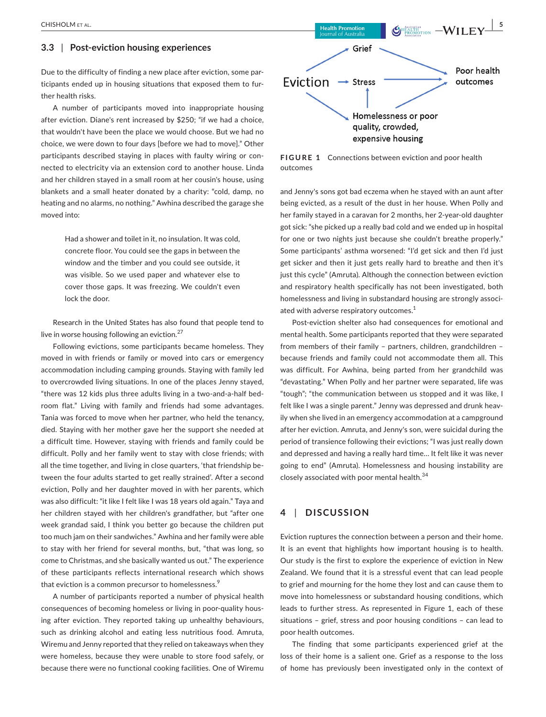#### **3.3** | **Post-eviction housing experiences**

Due to the difficulty of finding a new place after eviction, some participants ended up in housing situations that exposed them to further health risks.

A number of participants moved into inappropriate housing after eviction. Diane's rent increased by \$250; "if we had a choice, that wouldn't have been the place we would choose. But we had no choice, we were down to four days [before we had to move]." Other participants described staying in places with faulty wiring or connected to electricity via an extension cord to another house. Linda and her children stayed in a small room at her cousin's house, using blankets and a small heater donated by a charity: "cold, damp, no heating and no alarms, no nothing." Awhina described the garage she moved into:

> Had a shower and toilet in it, no insulation. It was cold, concrete floor. You could see the gaps in between the window and the timber and you could see outside, it was visible. So we used paper and whatever else to cover those gaps. It was freezing. We couldn't even lock the door.

Research in the United States has also found that people tend to live in worse housing following an eviction.<sup>27</sup>

Following evictions, some participants became homeless. They moved in with friends or family or moved into cars or emergency accommodation including camping grounds. Staying with family led to overcrowded living situations. In one of the places Jenny stayed, "there was 12 kids plus three adults living in a two-and-a-half bedroom flat." Living with family and friends had some advantages. Tania was forced to move when her partner, who held the tenancy, died. Staying with her mother gave her the support she needed at a difficult time. However, staying with friends and family could be difficult. Polly and her family went to stay with close friends; with all the time together, and living in close quarters, 'that friendship between the four adults started to get really strained'. After a second eviction, Polly and her daughter moved in with her parents, which was also difficult: "it like I felt like I was 18 years old again." Taya and her children stayed with her children's grandfather, but "after one week grandad said, I think you better go because the children put too much jam on their sandwiches." Awhina and her family were able to stay with her friend for several months, but, "that was long, so come to Christmas, and she basically wanted us out." The experience of these participants reflects international research which shows that eviction is a common precursor to homelessness.<sup>9</sup>

A number of participants reported a number of physical health consequences of becoming homeless or living in poor-quality housing after eviction. They reported taking up unhealthy behaviours, such as drinking alcohol and eating less nutritious food. Amruta, Wiremu and Jenny reported that they relied on takeaways when they were homeless, because they were unable to store food safely, or because there were no functional cooking facilities. One of Wiremu



**FIGURE 1** Connections between eviction and poor health outcomes

and Jenny's sons got bad eczema when he stayed with an aunt after being evicted, as a result of the dust in her house. When Polly and her family stayed in a caravan for 2 months, her 2-year-old daughter got sick: "she picked up a really bad cold and we ended up in hospital for one or two nights just because she couldn't breathe properly." Some participants' asthma worsened: "I'd get sick and then I'd just get sicker and then it just gets really hard to breathe and then it's just this cycle" (Amruta). Although the connection between eviction and respiratory health specifically has not been investigated, both homelessness and living in substandard housing are strongly associated with adverse respiratory outcomes.<sup>1</sup>

Post-eviction shelter also had consequences for emotional and mental health. Some participants reported that they were separated from members of their family – partners, children, grandchildren – because friends and family could not accommodate them all. This was difficult. For Awhina, being parted from her grandchild was "devastating." When Polly and her partner were separated, life was "tough"; "the communication between us stopped and it was like, I felt like I was a single parent." Jenny was depressed and drunk heavily when she lived in an emergency accommodation at a campground after her eviction. Amruta, and Jenny's son, were suicidal during the period of transience following their evictions; "I was just really down and depressed and having a really hard time… It felt like it was never going to end" (Amruta). Homelessness and housing instability are closely associated with poor mental health.<sup>34</sup>

# **4** | **DISCUSSION**

Eviction ruptures the connection between a person and their home. It is an event that highlights how important housing is to health. Our study is the first to explore the experience of eviction in New Zealand. We found that it is a stressful event that can lead people to grief and mourning for the home they lost and can cause them to move into homelessness or substandard housing conditions, which leads to further stress. As represented in Figure 1, each of these situations – grief, stress and poor housing conditions – can lead to poor health outcomes.

The finding that some participants experienced grief at the loss of their home is a salient one. Grief as a response to the loss of home has previously been investigated only in the context of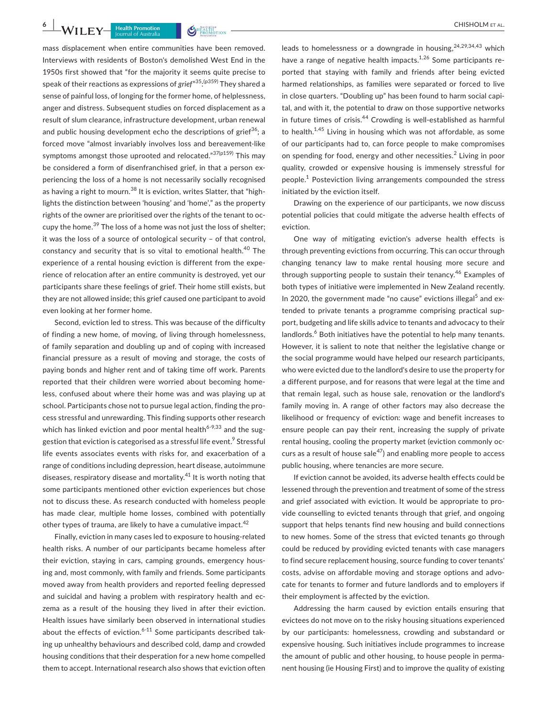mass displacement when entire communities have been removed. Interviews with residents of Boston's demolished West End in the 1950s first showed that "for the majority it seems quite precise to speak of their reactions as expressions of *grief*" 35: (p359) They shared a sense of painful loss, of longing for the former home, of helplessness, anger and distress. Subsequent studies on forced displacement as a result of slum clearance, infrastructure development, urban renewal and public housing development echo the descriptions of grief<sup>36</sup>; a forced move "almost invariably involves loss and bereavement-like symptoms amongst those uprooted and relocated."37(p159) This may be considered a form of disenfranchised grief, in that a person experiencing the loss of a home is not necessarily socially recognised as having a right to mourn.<sup>38</sup> It is eviction, writes Slatter, that "highlights the distinction between 'housing' and 'home'," as the property rights of the owner are prioritised over the rights of the tenant to occupy the home.<sup>39</sup> The loss of a home was not just the loss of shelter: it was the loss of a source of ontological security – of that control, constancy and security that is so vital to emotional health.<sup>40</sup> The experience of a rental housing eviction is different from the experience of relocation after an entire community is destroyed, yet our participants share these feelings of grief. Their home still exists, but they are not allowed inside; this grief caused one participant to avoid even looking at her former home.

Second, eviction led to stress. This was because of the difficulty of finding a new home, of moving, of living through homelessness, of family separation and doubling up and of coping with increased financial pressure as a result of moving and storage, the costs of paying bonds and higher rent and of taking time off work. Parents reported that their children were worried about becoming homeless, confused about where their home was and was playing up at school. Participants chose not to pursue legal action, finding the process stressful and unrewarding. This finding supports other research which has linked eviction and poor mental health<sup>6-9,33</sup> and the suggestion that eviction is categorised as a stressful life event.<sup>9</sup> Stressful life events associates events with risks for, and exacerbation of a range of conditions including depression, heart disease, autoimmune diseases, respiratory disease and mortality.41 It is worth noting that some participants mentioned other eviction experiences but chose not to discuss these. As research conducted with homeless people has made clear, multiple home losses, combined with potentially other types of trauma, are likely to have a cumulative impact.<sup>42</sup>

Finally, eviction in many cases led to exposure to housing-related health risks. A number of our participants became homeless after their eviction, staying in cars, camping grounds, emergency housing and, most commonly, with family and friends. Some participants moved away from health providers and reported feeling depressed and suicidal and having a problem with respiratory health and eczema as a result of the housing they lived in after their eviction. Health issues have similarly been observed in international studies about the effects of eviction. $6-11$  Some participants described taking up unhealthy behaviours and described cold, damp and crowded housing conditions that their desperation for a new home compelled them to accept. International research also shows that eviction often

leads to homelessness or a downgrade in housing,  $24,29,34,43$  which have a range of negative health impacts.<sup>1,26</sup> Some participants reported that staying with family and friends after being evicted harmed relationships, as families were separated or forced to live in close quarters. "Doubling up" has been found to harm social capital, and with it, the potential to draw on those supportive networks in future times of crisis. $44$  Crowding is well-established as harmful to health. $1,45$  Living in housing which was not affordable, as some of our participants had to, can force people to make compromises on spending for food, energy and other necessities.<sup>2</sup> Living in poor quality, crowded or expensive housing is immensely stressful for people.<sup>1</sup> Posteviction living arrangements compounded the stress initiated by the eviction itself.

Drawing on the experience of our participants, we now discuss potential policies that could mitigate the adverse health effects of eviction.

One way of mitigating eviction's adverse health effects is through preventing evictions from occurring. This can occur through changing tenancy law to make rental housing more secure and through supporting people to sustain their tenancy.<sup>46</sup> Examples of both types of initiative were implemented in New Zealand recently. In 2020, the government made "no cause" evictions illegal<sup>5</sup> and extended to private tenants a programme comprising practical support, budgeting and life skills advice to tenants and advocacy to their landlords.<sup>6</sup> Both initiatives have the potential to help many tenants. However, it is salient to note that neither the legislative change or the social programme would have helped our research participants, who were evicted due to the landlord's desire to use the property for a different purpose, and for reasons that were legal at the time and that remain legal, such as house sale, renovation or the landlord's family moving in. A range of other factors may also decrease the likelihood or frequency of eviction: wage and benefit increases to ensure people can pay their rent, increasing the supply of private rental housing, cooling the property market (eviction commonly occurs as a result of house sale $47$ ) and enabling more people to access public housing, where tenancies are more secure.

If eviction cannot be avoided, its adverse health effects could be lessened through the prevention and treatment of some of the stress and grief associated with eviction. It would be appropriate to provide counselling to evicted tenants through that grief, and ongoing support that helps tenants find new housing and build connections to new homes. Some of the stress that evicted tenants go through could be reduced by providing evicted tenants with case managers to find secure replacement housing, source funding to cover tenants' costs, advise on affordable moving and storage options and advocate for tenants to former and future landlords and to employers if their employment is affected by the eviction.

Addressing the harm caused by eviction entails ensuring that evictees do not move on to the risky housing situations experienced by our participants: homelessness, crowding and substandard or expensive housing. Such initiatives include programmes to increase the amount of public and other housing, to house people in permanent housing (ie Housing First) and to improve the quality of existing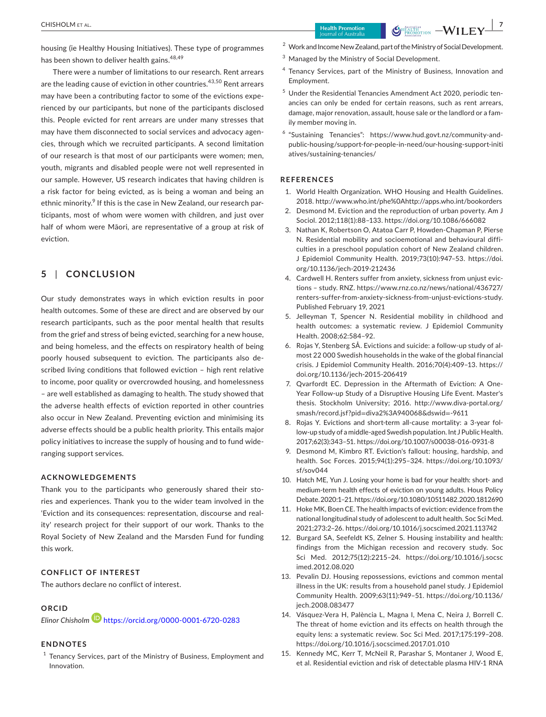housing (ie Healthy Housing Initiatives). These type of programmes has been shown to deliver health gains.<sup>48,49</sup>

There were a number of limitations to our research. Rent arrears are the leading cause of eviction in other countries.<sup>43,50</sup> Rent arrears may have been a contributing factor to some of the evictions experienced by our participants, but none of the participants disclosed this. People evicted for rent arrears are under many stresses that may have them disconnected to social services and advocacy agencies, through which we recruited participants. A second limitation of our research is that most of our participants were women; men, youth, migrants and disabled people were not well represented in our sample. However, US research indicates that having children is a risk factor for being evicted, as is being a woman and being an ethnic minority.<sup>9</sup> If this is the case in New Zealand, our research participants, most of whom were women with children, and just over half of whom were Māori, are representative of a group at risk of eviction.

## **5** | **CONCLUSION**

Our study demonstrates ways in which eviction results in poor health outcomes. Some of these are direct and are observed by our research participants, such as the poor mental health that results from the grief and stress of being evicted, searching for a new house, and being homeless, and the effects on respiratory health of being poorly housed subsequent to eviction. The participants also described living conditions that followed eviction – high rent relative to income, poor quality or overcrowded housing, and homelessness – are well established as damaging to health. The study showed that the adverse health effects of eviction reported in other countries also occur in New Zealand. Preventing eviction and minimising its adverse effects should be a public health priority. This entails major policy initiatives to increase the supply of housing and to fund wideranging support services.

#### **ACKNOWLEDGEMENTS**

Thank you to the participants who generously shared their stories and experiences. Thank you to the wider team involved in the 'Eviction and its consequences: representation, discourse and reality' research project for their support of our work. Thanks to the Royal Society of New Zealand and the Marsden Fund for funding this work.

#### **CONFLICT OF INTEREST**

The authors declare no conflict of interest.

## **ORCID**

*Elinor Chisholm* <https://orcid.org/0000-0001-6720-0283>

#### **ENDNOTES**

 $1$  Tenancy Services, part of the Ministry of Business, Employment and Innovation.

- <sup>2</sup> Work and Income New Zealand, part of the Ministry of Social Development.
- <sup>3</sup> Managed by the Ministry of Social Development.
- <sup>4</sup> Tenancy Services, part of the Ministry of Business, Innovation and Employment.
- <sup>5</sup> Under the Residential Tenancies Amendment Act 2020, periodic tenancies can only be ended for certain reasons, such as rent arrears, damage, major renovation, assault, house sale or the landlord or a family member moving in.
- $6$  "Sustaining Tenancies": [https://www.hud.govt.nz/community-and](https://www.hud.govt.nz/community-and-public-housing/support-for-people-in-need/our-housing-support-initiatives/sustaining-tenancies/)[public-housing/support-for-people-in-need/our-housing-support-initi](https://www.hud.govt.nz/community-and-public-housing/support-for-people-in-need/our-housing-support-initiatives/sustaining-tenancies/) [atives/sustaining-tenancies/](https://www.hud.govt.nz/community-and-public-housing/support-for-people-in-need/our-housing-support-initiatives/sustaining-tenancies/)

#### **REFERENCES**

- 1. World Health Organization. WHO Housing and Health Guidelines. 2018.<http://www.who.int/phe%0Ahttp://apps.who.int/bookorders>
- 2. Desmond M. Eviction and the reproduction of urban poverty. Am J Sociol. 2012;118(1):88–133. <https://doi.org/10.1086/666082>
- 3. Nathan K, Robertson O, Atatoa Carr P, Howden-Chapman P, Pierse N. Residential mobility and socioemotional and behavioural difficulties in a preschool population cohort of New Zealand children. J Epidemiol Community Health. 2019;73(10):947–53. [https://doi.](https://doi.org/10.1136/jech-2019-212436) [org/10.1136/jech-2019-212436](https://doi.org/10.1136/jech-2019-212436)
- 4. Cardwell H. Renters suffer from anxiety, sickness from unjust evictions – study. RNZ. [https://www.rnz.co.nz/news/national/436727/](https://www.rnz.co.nz/news/national/436727/renters-suffer-from-anxiety-sickness-from-unjust-evictions-study) [renters-suffer-from-anxiety-sickness-from-unjust-evictions-study](https://www.rnz.co.nz/news/national/436727/renters-suffer-from-anxiety-sickness-from-unjust-evictions-study). Published February 19, 2021
- 5. Jelleyman T, Spencer N. Residential mobility in childhood and health outcomes: a systematic review. J Epidemiol Community Health. 2008;62:584–92.
- 6. Rojas Y, Stenberg SÅ. Evictions and suicide: a follow-up study of almost 22 000 Swedish households in the wake of the global financial crisis. J Epidemiol Community Health. 2016;70(4):409–13. [https://](https://doi.org/10.1136/jech-2015-206419) [doi.org/10.1136/jech-2015-206419](https://doi.org/10.1136/jech-2015-206419)
- 7. Qvarfordt EC. Depression in the Aftermath of Eviction: A One-Year Follow-up Study of a Disruptive Housing Life Event. Master's thesis. Stockholm University; 2016. [http://www.diva-portal.org/](http://www.diva-portal.org/smash/record.jsf?pid=diva2%3A940068&dswid=-9611) smash/record.jsf?pid=[diva2%3A940068&dswid](http://www.diva-portal.org/smash/record.jsf?pid=diva2%3A940068&dswid=-9611)=-9611
- 8. Rojas Y. Evictions and short-term all-cause mortality: a 3-year follow-up study of a middle-aged Swedish population. Int J Public Health. 2017;62(3):343–51. <https://doi.org/10.1007/s00038-016-0931-8>
- 9. Desmond M, Kimbro RT. Eviction's fallout: housing, hardship, and health. Soc Forces. 2015;94(1):295–324. [https://doi.org/10.1093/](https://doi.org/10.1093/sf/sov044) [sf/sov044](https://doi.org/10.1093/sf/sov044)
- 10. Hatch ME, Yun J. Losing your home is bad for your health: short- and medium-term health effects of eviction on young adults. Hous Policy Debate. 2020:1–21.<https://doi.org/10.1080/10511482.2020.1812690>
- 11. Hoke MK, Boen CE. The health impacts of eviction: evidence from the national longitudinal study of adolescent to adult health. Soc Sci Med. 2021;273:2–26.<https://doi.org/10.1016/j.socscimed.2021.113742>
- 12. Burgard SA, Seefeldt KS, Zelner S. Housing instability and health: findings from the Michigan recession and recovery study. Soc Sci Med. 2012;75(12):2215–24. [https://doi.org/10.1016/j.socsc](https://doi.org/10.1016/j.socscimed.2012.08.020) [imed.2012.08.020](https://doi.org/10.1016/j.socscimed.2012.08.020)
- 13. Pevalin DJ. Housing repossessions, evictions and common mental illness in the UK: results from a household panel study. J Epidemiol Community Health. 2009;63(11):949–51. [https://doi.org/10.1136/](https://doi.org/10.1136/jech.2008.083477) [jech.2008.083477](https://doi.org/10.1136/jech.2008.083477)
- 14. Vásquez-Vera H, Palència L, Magna I, Mena C, Neira J, Borrell C. The threat of home eviction and its effects on health through the equity lens: a systematic review. Soc Sci Med. 2017;175:199–208. <https://doi.org/10.1016/j.socscimed.2017.01.010>
- 15. Kennedy MC, Kerr T, McNeil R, Parashar S, Montaner J, Wood E, et al. Residential eviction and risk of detectable plasma HIV-1 RNA